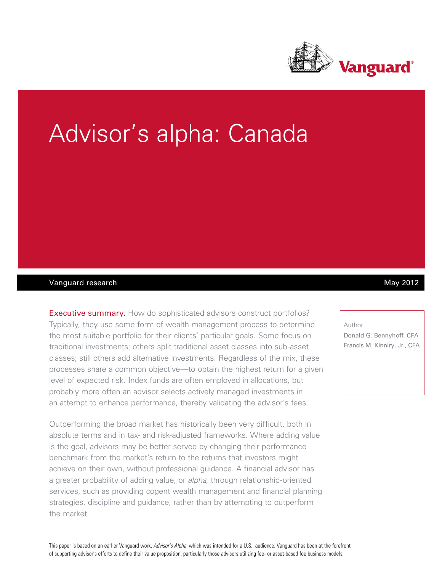

# Advisor's alpha: Canada

## Vanguard research **May 2012** Navigation of the May 2012

Executive summary. How do sophisticated advisors construct portfolios? Typically, they use some form of wealth management process to determine the most suitable portfolio for their clients' particular goals. Some focus on traditional investments; others split traditional asset classes into sub-asset classes; still others add alternative investments. Regardless of the mix, these processes share a common objective—to obtain the highest return for a given level of expected risk. Index funds are often employed in allocations, but probably more often an advisor selects actively managed investments in an attempt to enhance performance, thereby validating the advisor's fees.

Outperforming the broad market has historically been very difficult, both in absolute terms and in tax- and risk-adjusted frameworks. Where adding value is the goal, advisors may be better served by changing their performance benchmark from the market's return to the returns that investors might achieve on their own, without professional guidance. A financial advisor has a greater probability of adding value, or *alpha*, through relationship-oriented services, such as providing cogent wealth management and financial planning strategies, discipline and guidance, rather than by attempting to outperform the market.

#### Author

Donald G. Bennyhoff, CFA Francis M. Kinniry, Jr., CFA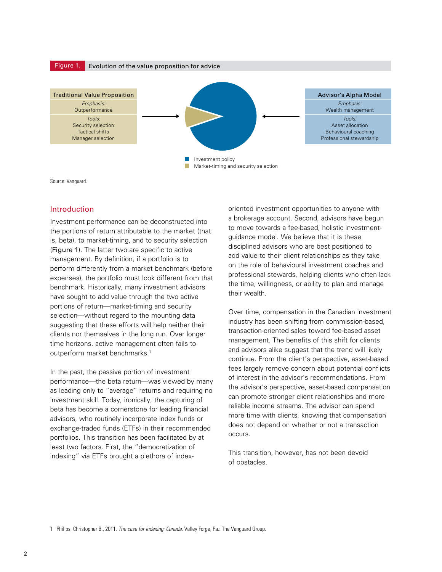

Source: Vanguard.

#### Introduction

Investment performance can be deconstructed into the portions of return attributable to the market (that is, beta), to market-timing, and to security selection (Figure 1). The latter two are specific to active management. By definition, if a portfolio is to perform differently from a market benchmark (before expenses), the portfolio must look different from that benchmark. Historically, many investment advisors have sought to add value through the two active portions of return—market-timing and security selection—without regard to the mounting data suggesting that these efforts will help neither their clients nor themselves in the long run. Over longer time horizons, active management often fails to outperform market benchmarks.<sup>1</sup>

In the past, the passive portion of investment performance—the beta return—was viewed by many as leading only to "average" returns and requiring no investment skill. Today, ironically, the capturing of beta has become a cornerstone for leading financial advisors, who routinely incorporate index funds or exchange-traded funds (ETFs) in their recommended portfolios. This transition has been facilitated by at least two factors. First, the "democratization of indexing" via ETFs brought a plethora of indexoriented investment opportunities to anyone with a brokerage account. Second, advisors have begun to move towards a fee-based, holistic investmentguidance model. We believe that it is these disciplined advisors who are best positioned to add value to their client relationships as they take on the role of behavioural investment coaches and professional stewards, helping clients who often lack the time, willingness, or ability to plan and manage their wealth.

Over time, compensation in the Canadian investment industry has been shifting from commission-based, transaction-oriented sales toward fee-based asset management. The benefits of this shift for clients and advisors alike suggest that the trend will likely continue. From the client's perspective, asset-based fees largely remove concern about potential conflicts of interest in the advisor's recommendations. From the advisor's perspective, asset-based compensation can promote stronger client relationships and more reliable income streams. The advisor can spend more time with clients, knowing that compensation does not depend on whether or not a transaction occurs.

This transition, however, has not been devoid of obstacles.

1 Philips, Christopher B., 2011. *The case for indexing: Canada*. Valley Forge, Pa.: The Vanguard Group.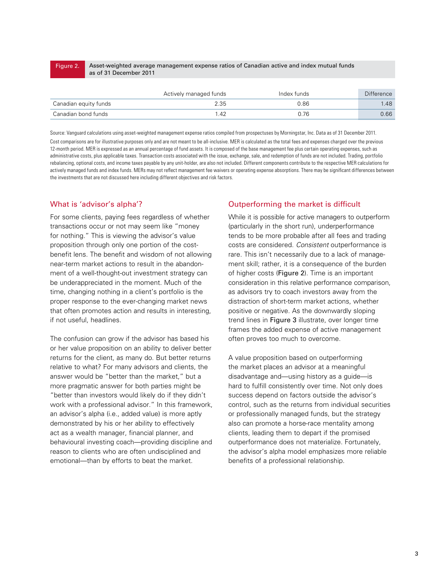#### Asset-weighted average management expense ratios of Canadian active and index mutual funds as of 31 December 2011 Figure 2.

|                       | Actively managed funds | Index funds | <b>Difference</b> |
|-----------------------|------------------------|-------------|-------------------|
| Canadian equity funds | 2.35                   | 0.86        | .48               |
| Canadian bond funds   | -42                    | በ 76        | 0.66              |

Source: Vanguard calculations using asset-weighted management expense ratios compiled from prospectuses by Morningstar, Inc. Data as of 31 December 2011. Cost comparisons are for illustrative purposes only and are not meant to be all-inclusive. MER is calculated as the total fees and expenses charged over the previous 12-month period. MER is expressed as an annual percentage of fund assets. It is composed of the base management fee plus certain operating expenses, such as administrative costs, plus applicable taxes. Transaction costs associated with the issue, exchange, sale, and redemption of funds are not included. Trading, portfolio rebalancing, optional costs, and income taxes payable by any unit-holder, are also not included. Different components contribute to the respective MER calculations for actively managed funds and index funds. MERs may not reflect management fee waivers or operating expense absorptions. There may be significant differences between the investments that are not discussed here including different objectives and risk factors.

# What is 'advisor's alpha'?

For some clients, paying fees regardless of whether transactions occur or not may seem like "money for nothing." This is viewing the advisor's value proposition through only one portion of the costbenefit lens. The benefit and wisdom of not allowing near-term market actions to result in the abandonment of a well-thought-out investment strategy can be underappreciated in the moment. Much of the time, changing nothing in a client's portfolio is the proper response to the ever-changing market news that often promotes action and results in interesting, if not useful, headlines.

The confusion can grow if the advisor has based his or her value proposition on an ability to deliver better returns for the client, as many do. But better returns relative to what? For many advisors and clients, the answer would be "better than the market," but a more pragmatic answer for both parties might be "better than investors would likely do if they didn't work with a professional advisor." In this framework, an advisor's alpha (i.e., added value) is more aptly demonstrated by his or her ability to effectively act as a wealth manager, financial planner, and behavioural investing coach—providing discipline and reason to clients who are often undisciplined and emotional—than by efforts to beat the market.

## Outperforming the market is difficult

While it is possible for active managers to outperform (particularly in the short run), underperformance tends to be more probable after all fees and trading costs are considered. *Consistent* outperformance is rare. This isn't necessarily due to a lack of management skill; rather, it is a consequence of the burden of higher costs (Figure 2). Time is an important consideration in this relative performance comparison, as advisors try to coach investors away from the distraction of short-term market actions, whether positive or negative. As the downwardly sloping trend lines in Figure 3 illustrate, over longer time frames the added expense of active management often proves too much to overcome.

A value proposition based on outperforming the market places an advisor at a meaningful disadvantage and—using history as a guide—is hard to fulfill consistently over time. Not only does success depend on factors outside the advisor's control, such as the returns from individual securities or professionally managed funds, but the strategy also can promote a horse-race mentality among clients, leading them to depart if the promised outperformance does not materialize. Fortunately, the advisor's alpha model emphasizes more reliable benefits of a professional relationship.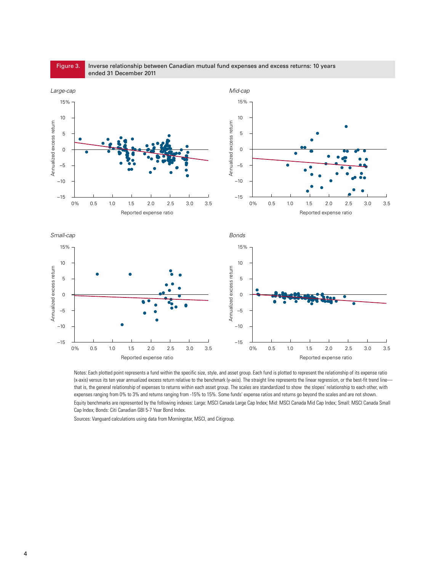

Inverse relationship between Canadian mutual fund expenses and excess returns: 10 years

Notes: Each plotted point represents a fund within the specific size, style, and asset group. Each fund is plotted to represent the relationship of its expense ratio (x-axis) versus its ten year annualized excess return relative to the benchmark (y-axis). The straight line represents the linear regression, or the best-fit trend line that is, the general relationship of expenses to returns within each asset group. The scales are standardized to show the slopes' relationship to each other, with expenses ranging from 0% to 3% and returns ranging from -15% to 15%. Some funds' expense ratios and returns go beyond the scales and are not shown. Equity benchmarks are represented by the following indexes: Large: MSCI Canada Large Cap Index; Mid: MSCI Canada Mid Cap Index; Small: MSCI Canada Small Cap Index; Bonds: Citi Canadian GBI 5-7 Year Bond Index.

Sources: Vanguard calculations using data from Morningstar, MSCI, and Citigroup.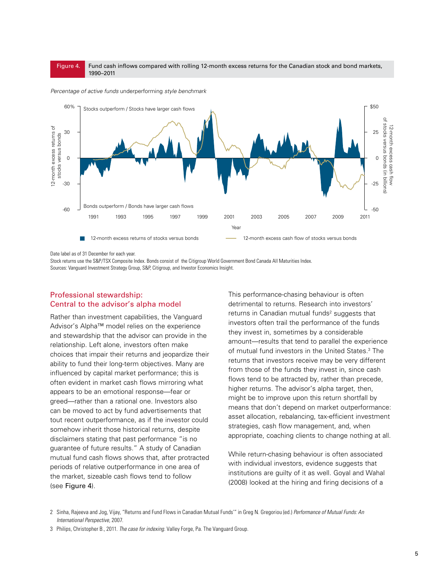#### Fund cash inflows compared with rolling 12-month excess returns for the Canadian stock and bond markets, 1990–2011 Figure 4.



*Percentage of active funds* underperforming *style benchmark*

Date label as of 31 December for each year.

Stock returns use the S&P/TSX Composite Index. Bonds consist of the Citigroup World Government Bond Canada All Maturities Index. Sources: Vanguard Investment Strategy Group, S&P, Citigroup, and Investor Economics Insight.

## Professional stewardship: Central to the advisor's alpha model

Rather than investment capabilities, the Vanguard Advisor's Alpha™ model relies on the experience and stewardship that the advisor can provide in the relationship. Left alone, investors often make choices that impair their returns and jeopardize their ability to fund their long-term objectives. Many are influenced by capital market performance; this is often evident in market cash flows mirroring what appears to be an emotional response—fear or greed—rather than a rational one. Investors also can be moved to act by fund advertisements that tout recent outperformance, as if the investor could somehow inherit those historical returns, despite disclaimers stating that past performance "is no guarantee of future results." A study of Canadian mutual fund cash flows shows that, after protracted periods of relative outperformance in one area of the market, sizeable cash flows tend to follow (see Figure 4).

This performance-chasing behaviour is often detrimental to returns. Research into investors' returns in Canadian mutual funds<sup>2</sup> suggests that investors often trail the performance of the funds they invest in, sometimes by a considerable amount—results that tend to parallel the experience of mutual fund investors in the United States.<sup>3</sup> The returns that investors receive may be very different from those of the funds they invest in, since cash flows tend to be attracted by, rather than precede, higher returns. The advisor's alpha target, then, might be to improve upon this return shortfall by means that don't depend on market outperformance: asset allocation, rebalancing, tax-efficient investment strategies, cash flow management, and, when appropriate, coaching clients to change nothing at all.

While return-chasing behaviour is often associated with individual investors, evidence suggests that institutions are guilty of it as well. Goyal and Wahal (2008) looked at the hiring and firing decisions of a

<sup>2</sup> Sinha, Rajeeva and Jog, Vijay, "Returns and Fund Flows in Canadian Mutual Funds'" in Greg N. Gregoriou (ed.) *Performance of Mutual Funds: An International Perspective*, 2007.

<sup>3</sup> Philips, Christopher B., 2011. *The case for indexing*. Valley Forge, Pa. The Vanguard Group.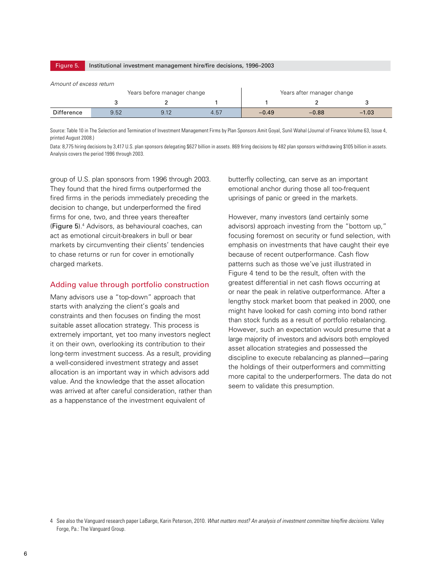| Figure 5.                                                                            | Institutional investment management hire/fire decisions, 1996–2003 |      |      |         |         |         |  |  |
|--------------------------------------------------------------------------------------|--------------------------------------------------------------------|------|------|---------|---------|---------|--|--|
| Amount of excess return<br>Years before manager change<br>Years after manager change |                                                                    |      |      |         |         |         |  |  |
|                                                                                      |                                                                    |      |      |         |         |         |  |  |
| <b>Difference</b>                                                                    | 9.52                                                               | 9.12 | 4.57 | $-0.49$ | $-0.88$ | $-1.03$ |  |  |

Source: Table 10 in The Selection and Termination of Investment Management Firms by Plan Sponsors Amit Goyal, Sunil Wahal (Journal of Finance Volume 63, Issue 4, printed August 2008.)

Data: 8,775 hiring decisions by 3,417 U.S. plan sponsors delegating \$627 billion in assets. 869 firing decisions by 482 plan sponsors withdrawing \$105 billion in assets. Analysis covers the period 1996 through 2003.

group of U.S. plan sponsors from 1996 through 2003. They found that the hired firms outperformed the fired firms in the periods immediately preceding the decision to change, but underperformed the fired firms for one, two, and three years thereafter (Figure 5).4 Advisors, as behavioural coaches, can act as emotional circuit-breakers in bull or bear markets by circumventing their clients' tendencies to chase returns or run for cover in emotionally charged markets.

#### Adding value through portfolio construction

Many advisors use a "top-down" approach that starts with analyzing the client's goals and constraints and then focuses on finding the most suitable asset allocation strategy. This process is extremely important, yet too many investors neglect it on their own, overlooking its contribution to their long-term investment success. As a result, providing a well-considered investment strategy and asset allocation is an important way in which advisors add value. And the knowledge that the asset allocation was arrived at after careful consideration, rather than as a happenstance of the investment equivalent of

butterfly collecting, can serve as an important emotional anchor during those all too-frequent uprisings of panic or greed in the markets.

However, many investors (and certainly some advisors) approach investing from the "bottom up," focusing foremost on security or fund selection, with emphasis on investments that have caught their eye because of recent outperformance. Cash flow patterns such as those we've just illustrated in Figure 4 tend to be the result, often with the greatest differential in net cash flows occurring at or near the peak in relative outperformance. After a lengthy stock market boom that peaked in 2000, one might have looked for cash coming into bond rather than stock funds as a result of portfolio rebalancing. However, such an expectation would presume that a large majority of investors and advisors both employed asset allocation strategies and possessed the discipline to execute rebalancing as planned—paring the holdings of their outperformers and committing more capital to the underperformers. The data do not seem to validate this presumption.

<sup>4</sup> See also the Vanguard research paper LaBarge, Karin Peterson, 2010. *What matters most? An analysis of investment committee hire/fire decisions*. Valley Forge, Pa.: The Vanguard Group.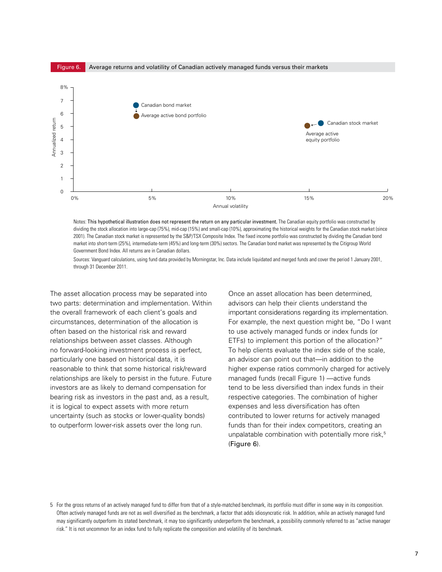

Notes: This hypothetical illustration does not represent the return on any particular investment. The Canadian equity portfolio was constructed by dividing the stock allocation into large-cap (75%), mid-cap (15%) and small-cap (10%), approximating the historical weights for the Canadian stock market (since 2001). The Canadian stock market is represented by the S&P/TSX Composite Index. The fixed income portfolio was constructed by dividing the Canadian bond market into short-term (25%), intermediate-term (45%) and long-term (30%) sectors. The Canadian bond market was represented by the Citigroup World Government Bond Index. All returns are in Canadian dollars.

Sources: Vanguard calculations, using fund data provided by Morningstar, Inc. Data include liquidated and merged funds and cover the period 1 January 2001, through 31 December 2011.

The asset allocation process may be separated into two parts: determination and implementation. Within the overall framework of each client's goals and circumstances, determination of the allocation is often based on the historical risk and reward relationships between asset classes. Although no forward-looking investment process is perfect, particularly one based on historical data, it is reasonable to think that some historical risk/reward relationships are likely to persist in the future. Future investors are as likely to demand compensation for bearing risk as investors in the past and, as a result, it is logical to expect assets with more return uncertainty (such as stocks or lower-quality bonds) to outperform lower-risk assets over the long run.

Once an asset allocation has been determined, advisors can help their clients understand the important considerations regarding its implementation. For example, the next question might be, "Do I want to use actively managed funds or index funds (or ETFs) to implement this portion of the allocation?" To help clients evaluate the index side of the scale, an advisor can point out that—in addition to the higher expense ratios commonly charged for actively managed funds (recall Figure 1) —active funds tend to be less diversified than index funds in their respective categories. The combination of higher expenses and less diversification has often contributed to lower returns for actively managed funds than for their index competitors, creating an unpalatable combination with potentially more risk,<sup>5</sup> (Figure 6).

<sup>5</sup> For the gross returns of an actively managed fund to differ from that of a style-matched benchmark, its portfolio must differ in some way in its composition. Often actively managed funds are not as well diversified as the benchmark, a factor that adds idiosyncratic risk. In addition, while an actively managed fund may significantly outperform its stated benchmark, it may too significantly underperform the benchmark, a possibility commonly referred to as "active manager risk." It is not uncommon for an index fund to fully replicate the composition and volatility of its benchmark.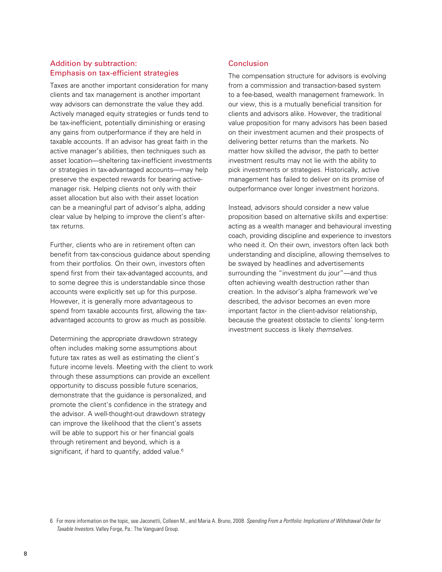#### Addition by subtraction: Emphasis on tax-efficient strategies

Taxes are another important consideration for many clients and tax management is another important way advisors can demonstrate the value they add. Actively managed equity strategies or funds tend to be tax-inefficient, potentially diminishing or erasing any gains from outperformance if they are held in taxable accounts. If an advisor has great faith in the active manager's abilities, then techniques such as asset location—sheltering tax-inefficient investments or strategies in tax-advantaged accounts—may help preserve the expected rewards for bearing activemanager risk. Helping clients not only with their asset allocation but also with their asset location can be a meaningful part of advisor's alpha, adding clear value by helping to improve the client's aftertax returns.

Further, clients who are in retirement often can benefit from tax-conscious guidance about spending from their portfolios. On their own, investors often spend first from their tax-advantaged accounts, and to some degree this is understandable since those accounts were explicitly set up for this purpose. However, it is generally more advantageous to spend from taxable accounts first, allowing the taxadvantaged accounts to grow as much as possible.

Determining the appropriate drawdown strategy often includes making some assumptions about future tax rates as well as estimating the client's future income levels. Meeting with the client to work through these assumptions can provide an excellent opportunity to discuss possible future scenarios, demonstrate that the guidance is personalized, and promote the client's confidence in the strategy and the advisor. A well-thought-out drawdown strategy can improve the likelihood that the client's assets will be able to support his or her financial goals through retirement and beyond, which is a significant, if hard to quantify, added value.<sup>6</sup>

## Conclusion

The compensation structure for advisors is evolving from a commission and transaction-based system to a fee-based, wealth management framework. In our view, this is a mutually beneficial transition for clients and advisors alike. However, the traditional value proposition for many advisors has been based on their investment acumen and their prospects of delivering better returns than the markets. No matter how skilled the advisor, the path to better investment results may not lie with the ability to pick investments or strategies. Historically, active management has failed to deliver on its promise of outperformance over longer investment horizons.

Instead, advisors should consider a new value proposition based on alternative skills and expertise: acting as a wealth manager and behavioural investing coach, providing discipline and experience to investors who need it. On their own, investors often lack both understanding and discipline, allowing themselves to be swayed by headlines and advertisements surrounding the "investment du jour"—and thus often achieving wealth destruction rather than creation. In the advisor's alpha framework we've described, the advisor becomes an even more important factor in the client-advisor relationship, because the greatest obstacle to clients' long-term investment success is likely *themselves*.

<sup>6</sup> For more information on the topic, see Jaconetti, Colleen M., and Maria A. Bruno, 2008. *Spending From a Portfolio: Implications of Withdrawal Order for Taxable Investors*. Valley Forge, Pa.: The Vanguard Group.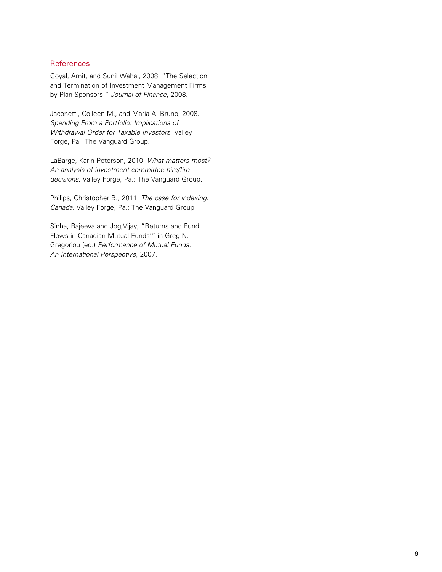#### **References**

Goyal, Amit, and Sunil Wahal, 2008. "The Selection and Termination of Investment Management Firms by Plan Sponsors." *Journal of Finance*, 2008.

Jaconetti, Colleen M., and Maria A. Bruno, 2008. *Spending From a Portfolio: Implications of Withdrawal Order for Taxable Investors*. Valley Forge, Pa.: The Vanguard Group.

LaBarge, Karin Peterson, 2010. *What matters most? An analysis of investment committee hire/fire decisions*. Valley Forge, Pa.: The Vanguard Group.

Philips, Christopher B., 2011. *The case for indexing: Canada*. Valley Forge, Pa.: The Vanguard Group.

Sinha, Rajeeva and Jog,Vijay, "Returns and Fund Flows in Canadian Mutual Funds'" in Greg N. Gregoriou (ed.) *Performance of Mutual Funds: An International Perspective*, 2007.